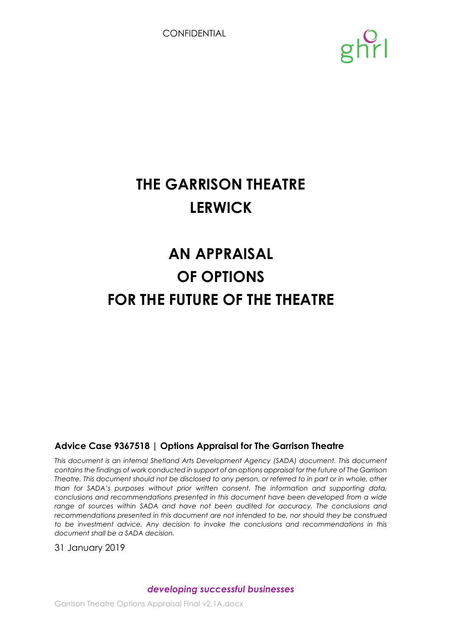

## **THE GARRISON THEATRE LERWICK**

# **AN APPRAISAL OF OPTIONS FOR THE FUTURE OF THE THEATRE**

## **Advice Case 9367518 | Options Appraisal for The Garrison Theatre**

*This document is an internal Shetland Arts Development Agency (SADA) document. This document contains the findings of work conducted in support of an options appraisal for the future of The Garrison Theatre. This document should not be disclosed to any person, or referred to in part or in whole, other than for SADA's purposes without prior written consent. The information and supporting data, conclusions and recommendations presented in this document have been developed from a wide range of sources within SADA and have not been audited for accuracy. The conclusions and*  recommendations presented in this document are not intended to be, nor should they be construed *to be investment advice. Any decision to invoke the conclusions and recommendations in this document shall be a SADA decision.*

31 January 2019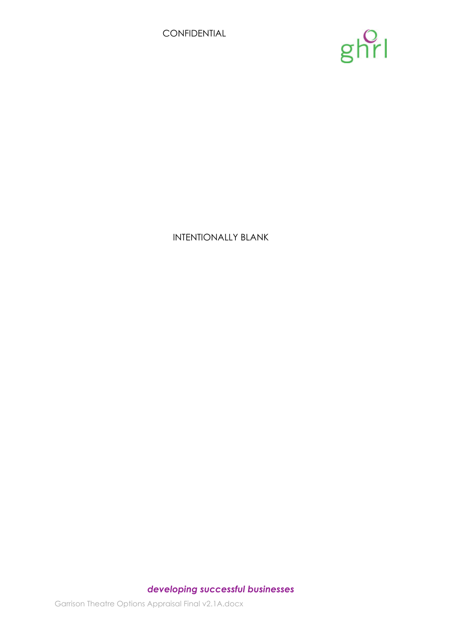

INTENTIONALLY BLANK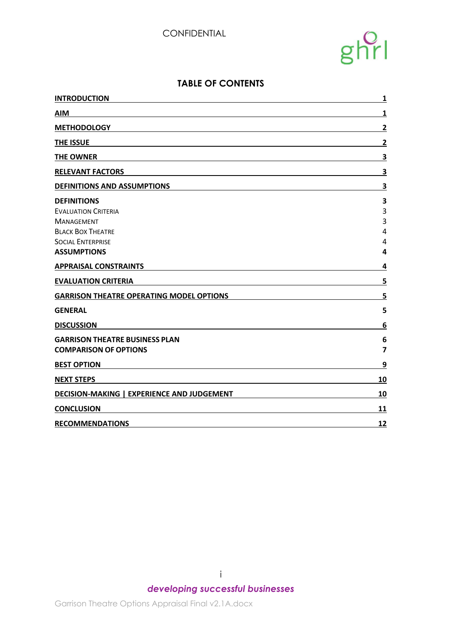

## **TABLE OF CONTENTS**

| <b>INTRODUCTION</b>                               | $\mathbf{1}$            |
|---------------------------------------------------|-------------------------|
| <b>AIM</b>                                        | 1                       |
| <b>METHODOLOGY</b>                                | 2                       |
| <b>THE ISSUE</b>                                  | $\overline{2}$          |
| <b>THE OWNER</b>                                  | $\overline{\mathbf{3}}$ |
| <b>RELEVANT FACTORS</b>                           | $\overline{\mathbf{3}}$ |
| <b>DEFINITIONS AND ASSUMPTIONS</b>                | <u>3</u>                |
| <b>DEFINITIONS</b>                                | 3                       |
| <b>EVALUATION CRITERIA</b>                        | 3                       |
| <b>MANAGEMENT</b>                                 | 3                       |
| <b>BLACK BOX THEATRE</b>                          | 4                       |
| <b>SOCIAL ENTERPRISE</b>                          | 4                       |
| <b>ASSUMPTIONS</b>                                | 4                       |
| <b>APPRAISAL CONSTRAINTS</b>                      | 4                       |
| <b>EVALUATION CRITERIA</b>                        | 5                       |
| <b>GARRISON THEATRE OPERATING MODEL OPTIONS</b>   | 5                       |
| <b>GENERAL</b>                                    | 5                       |
| <b>DISCUSSION</b>                                 | 6                       |
| <b>GARRISON THEATRE BUSINESS PLAN</b>             | 6                       |
| <b>COMPARISON OF OPTIONS</b>                      | $\overline{\mathbf{z}}$ |
| <b>BEST OPTION</b>                                | 9                       |
| <b>NEXT STEPS</b>                                 | 10                      |
| <b>DECISION-MAKING   EXPERIENCE AND JUDGEMENT</b> | 10                      |
| <b>CONCLUSION</b>                                 | 11                      |
| <b>RECOMMENDATIONS</b>                            | 12                      |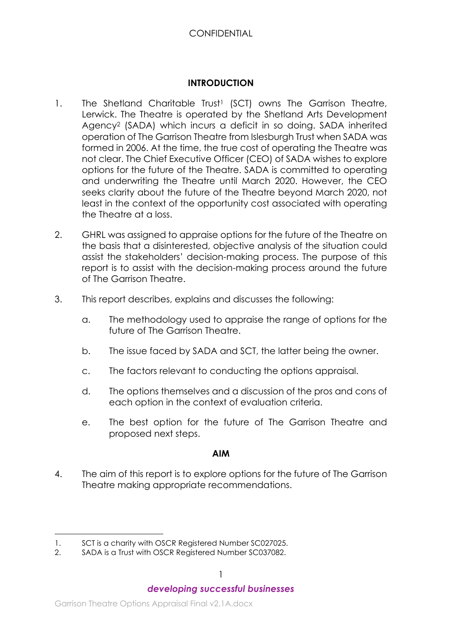#### **INTRODUCTION**

- 1. The Shetland Charitable Trust<sup>1</sup> (SCT) owns The Garrison Theatre, Lerwick. The Theatre is operated by the Shetland Arts Development Agency2 (SADA) which incurs a deficit in so doing. SADA inherited operation of The Garrison Theatre from Islesburgh Trust when SADA was formed in 2006. At the time, the true cost of operating the Theatre was not clear. The Chief Executive Officer (CEO) of SADA wishes to explore options for the future of the Theatre. SADA is committed to operating and underwriting the Theatre until March 2020. However, the CEO seeks clarity about the future of the Theatre beyond March 2020, not least in the context of the opportunity cost associated with operating the Theatre at a loss.
- 2. GHRL was assigned to appraise options for the future of the Theatre on the basis that a disinterested, objective analysis of the situation could assist the stakeholders' decision-making process. The purpose of this report is to assist with the decision-making process around the future of The Garrison Theatre.
- 3. This report describes, explains and discusses the following:
	- a. The methodology used to appraise the range of options for the future of The Garrison Theatre.
	- b. The issue faced by SADA and SCT, the latter being the owner.
	- c. The factors relevant to conducting the options appraisal.
	- d. The options themselves and a discussion of the pros and cons of each option in the context of evaluation criteria.
	- e. The best option for the future of The Garrison Theatre and proposed next steps.

#### **AIM**

4. The aim of this report is to explore options for the future of The Garrison Theatre making appropriate recommendations.

1

<sup>1.</sup> SCT is a charity with OSCR Registered Number SC027025.

<sup>2.</sup> SADA is a Trust with OSCR Registered Number SC037082.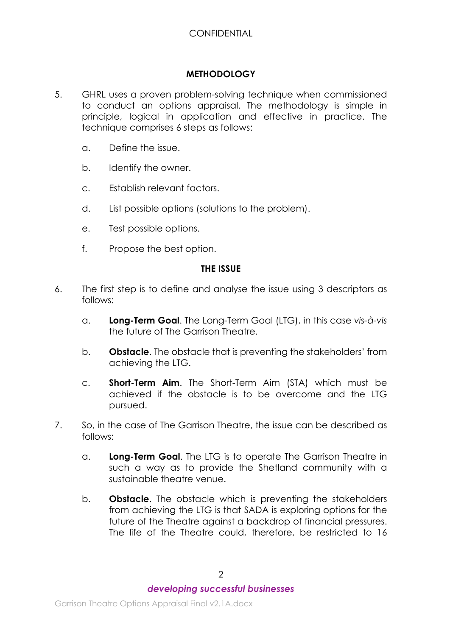## **METHODOLOGY**

- 5. GHRL uses a proven problem-solving technique when commissioned to conduct an options appraisal. The methodology is simple in principle, logical in application and effective in practice. The technique comprises 6 steps as follows:
	- a. Define the issue.
	- b. Identify the owner.
	- c. Establish relevant factors.
	- d. List possible options (solutions to the problem).
	- e. Test possible options.
	- f. Propose the best option.

#### **THE ISSUE**

- 6. The first step is to define and analyse the issue using 3 descriptors as follows:
	- a. **Long-Term Goal**. The Long-Term Goal (LTG), in this case *vis-à-vis*  the future of The Garrison Theatre.
	- b. **Obstacle**. The obstacle that is preventing the stakeholders' from achieving the LTG.
	- c. **Short-Term Aim**. The Short-Term Aim (STA) which must be achieved if the obstacle is to be overcome and the LTG pursued.
- 7. So, in the case of The Garrison Theatre, the issue can be described as follows:
	- a. **Long-Term Goal**. The LTG is to operate The Garrison Theatre in such a way as to provide the Shetland community with a sustainable theatre venue.
	- b. **Obstacle**. The obstacle which is preventing the stakeholders from achieving the LTG is that SADA is exploring options for the future of the Theatre against a backdrop of financial pressures. The life of the Theatre could, therefore, be restricted to 16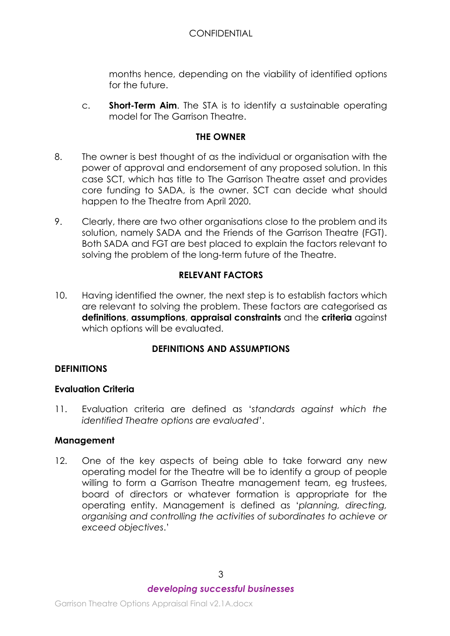months hence, depending on the viability of identified options for the future.

c. **Short-Term Aim**. The STA is to identify a sustainable operating model for The Garrison Theatre.

## **THE OWNER**

- 8. The owner is best thought of as the individual or organisation with the power of approval and endorsement of any proposed solution. In this case SCT, which has title to The Garrison Theatre asset and provides core funding to SADA, is the owner. SCT can decide what should happen to the Theatre from April 2020.
- 9. Clearly, there are two other organisations close to the problem and its solution, namely SADA and the Friends of the Garrison Theatre (FGT). Both SADA and FGT are best placed to explain the factors relevant to solving the problem of the long-term future of the Theatre.

## **RELEVANT FACTORS**

10. Having identified the owner, the next step is to establish factors which are relevant to solving the problem. These factors are categorised as **definitions**, **assumptions**, **appraisal constraints** and the **criteria** against which options will be evaluated.

## **DEFINITIONS AND ASSUMPTIONS**

## **DEFINITIONS**

## **Evaluation Criteria**

11. Evaluation criteria are defined as '*standards against which the identified Theatre options are evaluated*'.

## **Management**

12. One of the key aspects of being able to take forward any new operating model for the Theatre will be to identify a group of people willing to form a Garrison Theatre management team, eg trustees, board of directors or whatever formation is appropriate for the operating entity. Management is defined as '*planning, directing, organising and controlling the activities of subordinates to achieve or exceed objectives*.'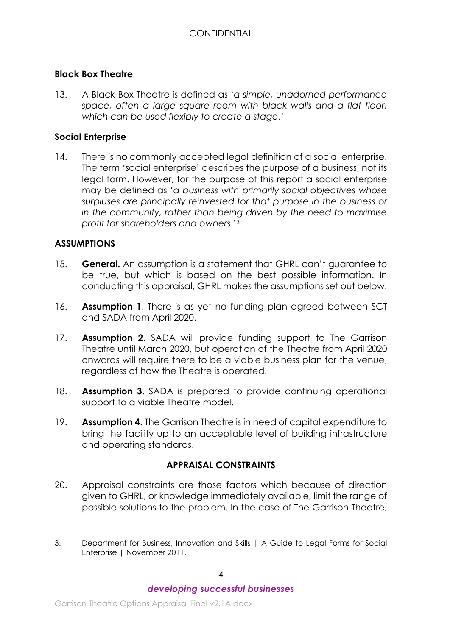#### **Black Box Theatre**

13. A Black Box Theatre is defined as '*a simple, unadorned performance space, often a large square room with black walls and a flat floor, which can be used flexibly to create a stage*.'

#### **Social Enterprise**

14. There is no commonly accepted legal definition of a social enterprise. The term 'social enterprise' describes the purpose of a business, not its legal form. However, for the purpose of this report a social enterprise may be defined as '*a business with primarily social objectives whose surpluses are principally reinvested for that purpose in the business or in the community, rather than being driven by the need to maximise profit for shareholders and owners*.'3

## **ASSUMPTIONS**

- 15. **General.** An assumption is a statement that GHRL can't guarantee to be true, but which is based on the best possible information. In conducting this appraisal, GHRL makes the assumptions set out below.
- 16. **Assumption 1**. There is as yet no funding plan agreed between SCT and SADA from April 2020.
- 17. **Assumption 2**. SADA will provide funding support to The Garrison Theatre until March 2020, but operation of the Theatre from April 2020 onwards will require there to be a viable business plan for the venue, regardless of how the Theatre is operated.
- 18. **Assumption 3**. SADA is prepared to provide continuing operational support to a viable Theatre model.
- 19. **Assumption 4**. The Garrison Theatre is in need of capital expenditure to bring the facility up to an acceptable level of building infrastructure and operating standards.

## **APPRAISAL CONSTRAINTS**

20. Appraisal constraints are those factors which because of direction given to GHRL, or knowledge immediately available, limit the range of possible solutions to the problem. In the case of The Garrison Theatre,

<sup>1</sup> 3. Department for Business, Innovation and Skills | A Guide to Legal Forms for Social Enterprise | November 2011.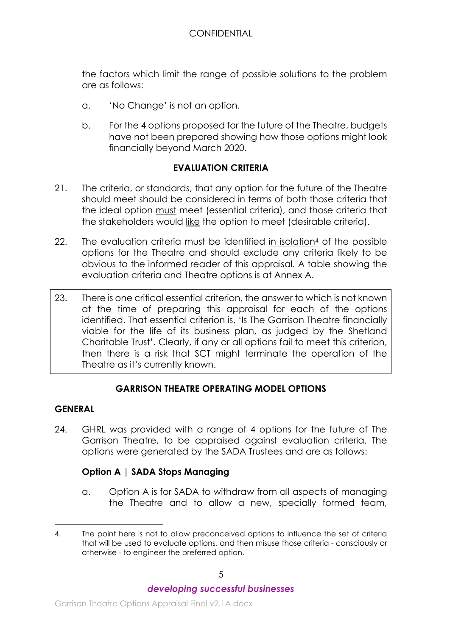the factors which limit the range of possible solutions to the problem are as follows:

- a. 'No Change' is not an option.
- b. For the 4 options proposed for the future of the Theatre, budgets have not been prepared showing how those options might look financially beyond March 2020.

## **EVALUATION CRITERIA**

- 21. The criteria, or standards, that any option for the future of the Theatre should meet should be considered in terms of both those criteria that the ideal option must meet (essential criteria), and those criteria that the stakeholders would like the option to meet (desirable criteria).
- 22. The evaluation criteria must be identified in isolation<sup>4</sup> of the possible options for the Theatre and should exclude any criteria likely to be obvious to the informed reader of this appraisal. A table showing the evaluation criteria and Theatre options is at Annex A.
- 23. There is one critical essential criterion, the answer to which is not known at the time of preparing this appraisal for each of the options identified. That essential criterion is, 'Is The Garrison Theatre financially viable for the life of its business plan, as judged by the Shetland Charitable Trust'. Clearly, if any or all options fail to meet this criterion, then there is a risk that SCT might terminate the operation of the Theatre as it's currently known.

## **GARRISON THEATRE OPERATING MODEL OPTIONS**

## **GENERAL**

24. GHRL was provided with a range of 4 options for the future of The Garrison Theatre, to be appraised against evaluation criteria. The options were generated by the SADA Trustees and are as follows:

## **Option A | SADA Stops Managing**

a. Option A is for SADA to withdraw from all aspects of managing the Theatre and to allow a new, specially formed team,

<sup>1</sup> 4. The point here is not to allow preconceived options to influence the set of criteria that will be used to evaluate options, and then misuse those criteria - consciously or otherwise - to engineer the preferred option.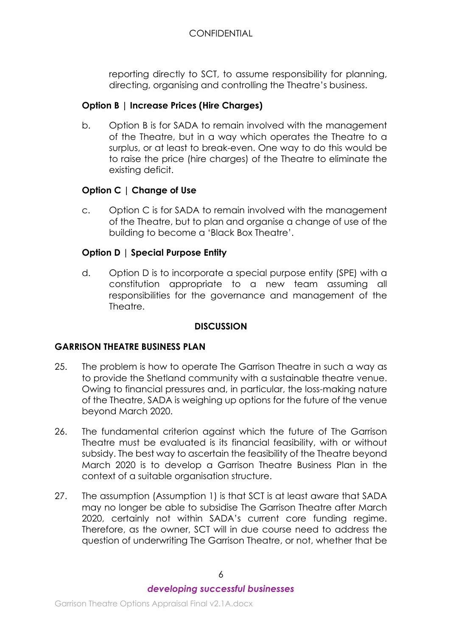reporting directly to SCT, to assume responsibility for planning, directing, organising and controlling the Theatre's business.

## **Option B | Increase Prices (Hire Charges)**

b. Option B is for SADA to remain involved with the management of the Theatre, but in a way which operates the Theatre to a surplus, or at least to break-even. One way to do this would be to raise the price (hire charges) of the Theatre to eliminate the existing deficit.

## **Option C | Change of Use**

c. Option C is for SADA to remain involved with the management of the Theatre, but to plan and organise a change of use of the building to become a 'Black Box Theatre'.

## **Option D | Special Purpose Entity**

d. Option D is to incorporate a special purpose entity (SPE) with a constitution appropriate to a new team assuming all responsibilities for the governance and management of the Theatre.

## **DISCUSSION**

## **GARRISON THEATRE BUSINESS PLAN**

- 25. The problem is how to operate The Garrison Theatre in such a way as to provide the Shetland community with a sustainable theatre venue. Owing to financial pressures and, in particular, the loss-making nature of the Theatre, SADA is weighing up options for the future of the venue beyond March 2020.
- 26. The fundamental criterion against which the future of The Garrison Theatre must be evaluated is its financial feasibility, with or without subsidy. The best way to ascertain the feasibility of the Theatre beyond March 2020 is to develop a Garrison Theatre Business Plan in the context of a suitable organisation structure.
- 27. The assumption (Assumption 1) is that SCT is at least aware that SADA may no longer be able to subsidise The Garrison Theatre after March 2020, certainly not within SADA's current core funding regime. Therefore, as the owner, SCT will in due course need to address the question of underwriting The Garrison Theatre, or not, whether that be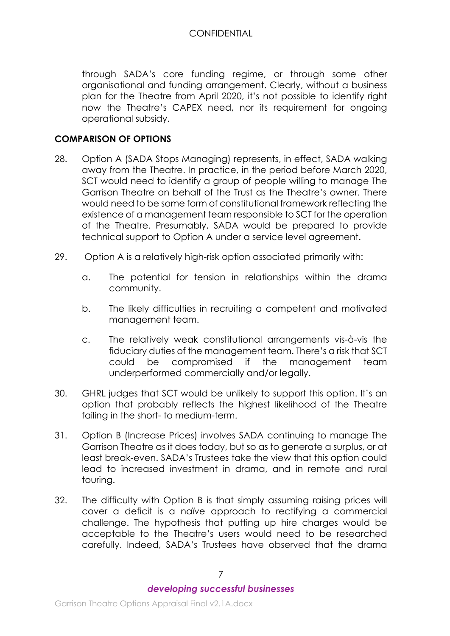through SADA's core funding regime, or through some other organisational and funding arrangement. Clearly, without a business plan for the Theatre from April 2020, it's not possible to identify right now the Theatre's CAPEX need, nor its requirement for ongoing operational subsidy.

## **COMPARISON OF OPTIONS**

- 28. Option A (SADA Stops Managing) represents, in effect, SADA walking away from the Theatre. In practice, in the period before March 2020, SCT would need to identify a group of people willing to manage The Garrison Theatre on behalf of the Trust as the Theatre's owner. There would need to be some form of constitutional framework reflecting the existence of a management team responsible to SCT for the operation of the Theatre. Presumably, SADA would be prepared to provide technical support to Option A under a service level agreement.
- 29. Option A is a relatively high-risk option associated primarily with:
	- a. The potential for tension in relationships within the drama community.
	- b. The likely difficulties in recruiting a competent and motivated management team.
	- c. The relatively weak constitutional arrangements vis-à-vis the fiduciary duties of the management team. There's a risk that SCT could be compromised if the management team underperformed commercially and/or legally.
- 30. GHRL judges that SCT would be unlikely to support this option. It's an option that probably reflects the highest likelihood of the Theatre failing in the short- to medium-term.
- 31. Option B (Increase Prices) involves SADA continuing to manage The Garrison Theatre as it does today, but so as to generate a surplus, or at least break-even. SADA's Trustees take the view that this option could lead to increased investment in drama, and in remote and rural touring.
- 32. The difficulty with Option B is that simply assuming raising prices will cover a deficit is a naïve approach to rectifying a commercial challenge. The hypothesis that putting up hire charges would be acceptable to the Theatre's users would need to be researched carefully. Indeed, SADA's Trustees have observed that the drama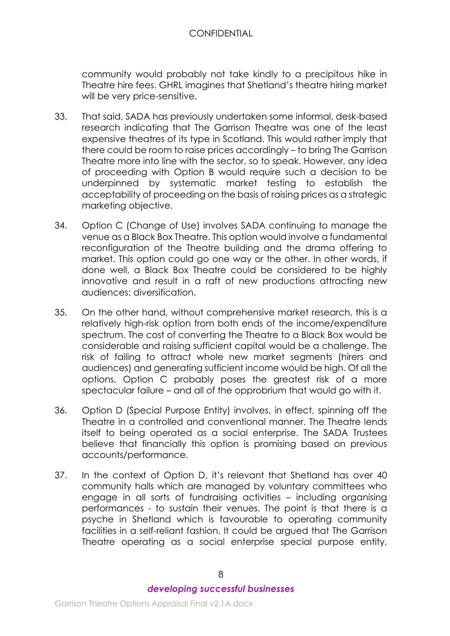community would probably not take kindly to a precipitous hike in Theatre hire fees. GHRL imagines that Shetland's theatre hiring market will be very price-sensitive.

- 33. That said, SADA has previously undertaken some informal, desk-based research indicating that The Garrison Theatre was one of the least expensive theatres of its type in Scotland. This would rather imply that there could be room to raise prices accordingly – to bring The Garrison Theatre more into line with the sector, so to speak. However, any idea of proceeding with Option B would require such a decision to be underpinned by systematic market testing to establish the acceptability of proceeding on the basis of raising prices as a strategic marketing objective.
- 34. Option C (Change of Use) involves SADA continuing to manage the venue as a Black Box Theatre. This option would involve a fundamental reconfiguration of the Theatre building and the drama offering to market. This option could go one way or the other. In other words, if done well, a Black Box Theatre could be considered to be highly innovative and result in a raft of new productions attracting new audiences: diversification.
- 35. On the other hand, without comprehensive market research, this is a relatively high-risk option from both ends of the income/expenditure spectrum. The cost of converting the Theatre to a Black Box would be considerable and raising sufficient capital would be a challenge. The risk of failing to attract whole new market segments (hirers and audiences) and generating sufficient income would be high. Of all the options, Option C probably poses the greatest risk of a more spectacular failure – and all of the opprobrium that would go with it.
- 36. Option D (Special Purpose Entity) involves, in effect, spinning off the Theatre in a controlled and conventional manner. The Theatre lends itself to being operated as a social enterprise. The SADA Trustees believe that financially this option is promising based on previous accounts/performance.
- 37. In the context of Option D, it's relevant that Shetland has over 40 community halls which are managed by voluntary committees who engage in all sorts of fundraising activities – including organising performances - to sustain their venues. The point is that there is a psyche in Shetland which is favourable to operating community facilities in a self-reliant fashion. It could be argued that The Garrison Theatre operating as a social enterprise special purpose entity,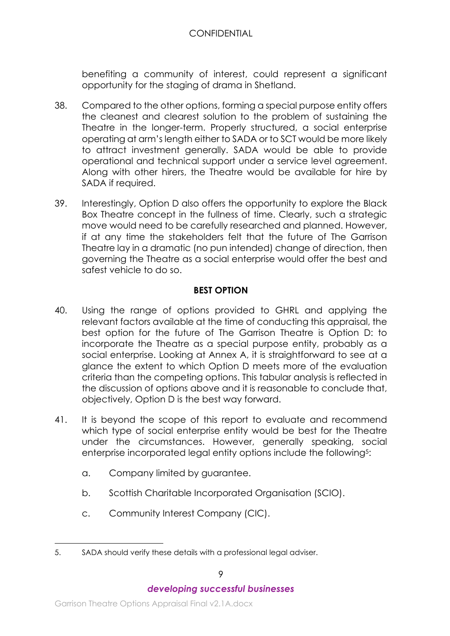benefiting a community of interest, could represent a significant opportunity for the staging of drama in Shetland.

- 38. Compared to the other options, forming a special purpose entity offers the cleanest and clearest solution to the problem of sustaining the Theatre in the longer-term. Properly structured, a social enterprise operating at arm's length either to SADA or to SCT would be more likely to attract investment generally. SADA would be able to provide operational and technical support under a service level agreement. Along with other hirers, the Theatre would be available for hire by SADA if required.
- 39. Interestingly, Option D also offers the opportunity to explore the Black Box Theatre concept in the fullness of time. Clearly, such a strategic move would need to be carefully researched and planned. However, if at any time the stakeholders felt that the future of The Garrison Theatre lay in a dramatic (no pun intended) change of direction, then governing the Theatre as a social enterprise would offer the best and safest vehicle to do so.

## **BEST OPTION**

- 40. Using the range of options provided to GHRL and applying the relevant factors available at the time of conducting this appraisal, the best option for the future of The Garrison Theatre is Option D: to incorporate the Theatre as a special purpose entity, probably as a social enterprise. Looking at Annex A, it is straightforward to see at a glance the extent to which Option D meets more of the evaluation criteria than the competing options. This tabular analysis is reflected in the discussion of options above and it is reasonable to conclude that, objectively, Option D is the best way forward.
- 41. It is beyond the scope of this report to evaluate and recommend which type of social enterprise entity would be best for the Theatre under the circumstances. However, generally speaking, social enterprise incorporated legal entity options include the following<sup>5</sup>:
	- a. Company limited by guarantee.
	- b. Scottish Charitable Incorporated Organisation (SCIO).
	- c. Community Interest Company (CIC).
- 1 5. SADA should verify these details with a professional legal adviser.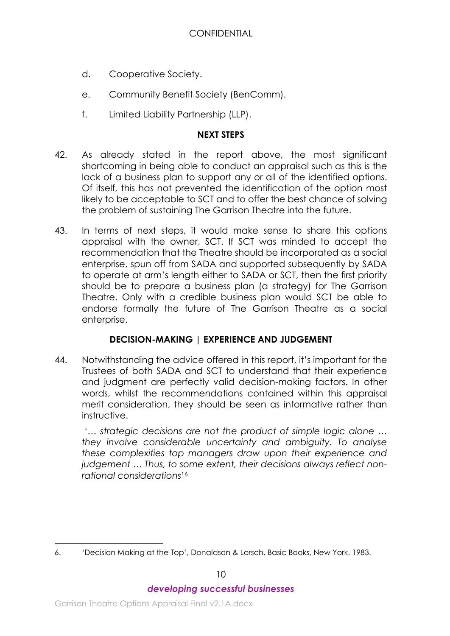- d. Cooperative Society.
- e. Community Benefit Society (BenComm).
- f. Limited Liability Partnership (LLP).

## **NEXT STEPS**

- 42. As already stated in the report above, the most significant shortcoming in being able to conduct an appraisal such as this is the lack of a business plan to support any or all of the identified options. Of itself, this has not prevented the identification of the option most likely to be acceptable to SCT and to offer the best chance of solving the problem of sustaining The Garrison Theatre into the future.
- 43. In terms of next steps, it would make sense to share this options appraisal with the owner, SCT. If SCT was minded to accept the recommendation that the Theatre should be incorporated as a social enterprise, spun off from SADA and supported subsequently by SADA to operate at arm's length either to SADA or SCT, then the first priority should be to prepare a business plan (a strategy) for The Garrison Theatre. Only with a credible business plan would SCT be able to endorse formally the future of The Garrison Theatre as a social enterprise.

## **DECISION-MAKING | EXPERIENCE AND JUDGEMENT**

44. Notwithstanding the advice offered in this report, it's important for the Trustees of both SADA and SCT to understand that their experience and judgment are perfectly valid decision-making factors. In other words, whilst the recommendations contained within this appraisal merit consideration, they should be seen as informative rather than instructive.

'… *strategic decisions are not the product of simple logic alone … they involve considerable uncertainty and ambiguity. To analyse these complexities top managers draw upon their experience and judgement … Thus, to some extent, their decisions always reflect nonrational considerations*'6

<sup>1</sup> 6. 'Decision Making at the Top', Donaldson & Lorsch, Basic Books, New York, 1983.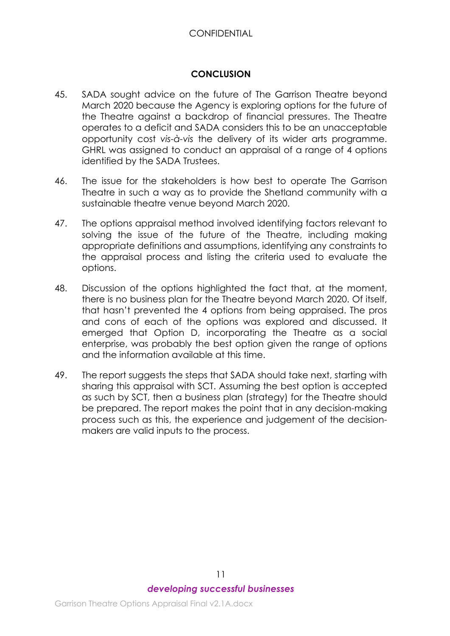## **CONCLUSION**

- 45. SADA sought advice on the future of The Garrison Theatre beyond March 2020 because the Agency is exploring options for the future of the Theatre against a backdrop of financial pressures. The Theatre operates to a deficit and SADA considers this to be an unacceptable opportunity cost *vis-à-vis* the delivery of its wider arts programme. GHRL was assigned to conduct an appraisal of a range of 4 options identified by the SADA Trustees.
- 46. The issue for the stakeholders is how best to operate The Garrison Theatre in such a way as to provide the Shetland community with a sustainable theatre venue beyond March 2020.
- 47. The options appraisal method involved identifying factors relevant to solving the issue of the future of the Theatre, including making appropriate definitions and assumptions, identifying any constraints to the appraisal process and listing the criteria used to evaluate the options.
- 48. Discussion of the options highlighted the fact that, at the moment, there is no business plan for the Theatre beyond March 2020. Of itself, that hasn't prevented the 4 options from being appraised. The pros and cons of each of the options was explored and discussed. It emerged that Option D, incorporating the Theatre as a social enterprise, was probably the best option given the range of options and the information available at this time.
- 49. The report suggests the steps that SADA should take next, starting with sharing this appraisal with SCT. Assuming the best option is accepted as such by SCT, then a business plan (strategy) for the Theatre should be prepared. The report makes the point that in any decision-making process such as this, the experience and judgement of the decisionmakers are valid inputs to the process.